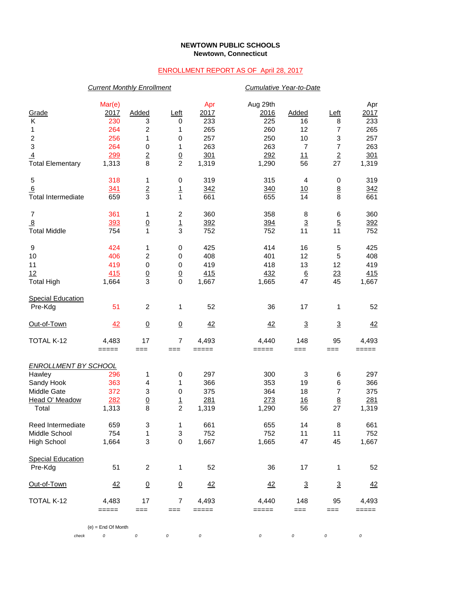## **NEWTOWN PUBLIC SCHOOLS Newtown, Connecticut**

## ENROLLMENT REPORT AS OF April 28, 2017

|                             | <b>Current Monthly Enrollment</b> |                 |                           |                    |                         | Cumulative Year-to-Date |                          |                    |  |  |
|-----------------------------|-----------------------------------|-----------------|---------------------------|--------------------|-------------------------|-------------------------|--------------------------|--------------------|--|--|
| Grade<br>Κ                  | Mar(e)<br>2017<br>230             | Added<br>3      | Left<br>0                 | Apr<br>2017<br>233 | Aug 29th<br>2016<br>225 | Added<br>16             | Left<br>8                | Apr<br>2017<br>233 |  |  |
| 1                           | 264                               | 2               | 1                         | 265                | 260                     | 12                      | 7                        | 265                |  |  |
| $\overline{c}$              | 256                               | 1               | 0                         | 257                | 250                     | 10                      | 3                        | 257                |  |  |
| 3                           | 264                               | 0               | 1                         | 263                | 263                     | $\overline{7}$          | $\boldsymbol{7}$         | 263                |  |  |
| $\overline{4}$              | 299                               |                 |                           | 301                | 292                     | 11                      | $\overline{2}$           | 301                |  |  |
| <b>Total Elementary</b>     | 1,313                             | $\frac{2}{8}$   | $\frac{0}{2}$             | 1,319              | 1,290                   | 56                      | 27                       | 1,319              |  |  |
| 5                           | 318                               | 1               | $\,0\,$                   | 319                | 315                     | $\overline{4}$          | 0                        | 319                |  |  |
| <u>6</u>                    | 341                               | $\frac{2}{3}$   | $\frac{1}{1}$             | 342                | 340                     | <u>10</u>               | $\underline{8}$          | 342                |  |  |
| <b>Total Intermediate</b>   | 659                               |                 |                           | 661                | 655                     | 14                      | 8                        | 661                |  |  |
| 7                           | 361                               | 1               | $\boldsymbol{2}$          | 360                | 358                     | 8                       | 6                        | 360                |  |  |
| $\overline{8}$              | 393                               | $\overline{0}$  | $\frac{1}{3}$             | 392                | 394                     | $\overline{3}$          | $\overline{5}$           | 392                |  |  |
| <b>Total Middle</b>         | 754                               | 1               |                           | 752                | 752                     | 11                      | 11                       | 752                |  |  |
| 9                           | 424                               | 1               | 0                         | 425                | 414                     | 16                      | 5                        | 425                |  |  |
| 10                          | 406                               | $\overline{c}$  | 0                         | 408                | 401                     | 12                      | 5                        | 408                |  |  |
| 11                          | 419                               | $\pmb{0}$       | $\pmb{0}$                 | 419                | 418                     | 13                      | 12                       | 419                |  |  |
| 12                          | 415                               | $\frac{0}{3}$   | $\frac{0}{0}$             | 415                | 432                     | $\underline{6}$<br>47   | $\frac{23}{45}$          | 415                |  |  |
| <b>Total High</b>           | 1,664                             |                 |                           | 1,667              | 1,665                   |                         |                          | 1,667              |  |  |
| <b>Special Education</b>    |                                   |                 |                           |                    |                         |                         |                          |                    |  |  |
| Pre-Kdg                     | 51                                | $\overline{c}$  | 1                         | 52                 | 36                      | 17                      | 1                        | 52                 |  |  |
| Out-of-Town                 | 42                                | $\overline{0}$  | $\underline{0}$           | 42                 | 42                      | $\overline{3}$          | $\underline{\mathbf{3}}$ | 42                 |  |  |
| TOTAL K-12                  | 4,483                             | 17              | $\overline{7}$            | 4,493              | 4,440                   | 148                     | 95                       | 4,493              |  |  |
|                             | =====                             | $==$            | ===                       | $=====$            | =====                   | $==$                    | ===                      | =====              |  |  |
| <b>ENROLLMENT BY SCHOOL</b> |                                   |                 |                           |                    |                         |                         |                          |                    |  |  |
| Hawley                      | 296                               | 1               | 0                         | 297                | 300                     | 3                       | 6                        | 297                |  |  |
| Sandy Hook                  | 363                               | 4               | 1                         | 366                | 353                     | 19                      | 6                        | 366                |  |  |
| Middle Gate                 | 372                               | $\mathbf 3$     | 0                         | 375                | 364                     | 18                      | $\boldsymbol{7}$         | 375                |  |  |
| Head O' Meadow              | 282                               | $\underline{0}$ | $\frac{1}{2}$             | 281                | 273                     | 16                      | $\underline{8}$          | 281                |  |  |
| Total                       | 1,313                             | 8               |                           | 1,319              | 1,290                   | 56                      | 27                       | 1,319              |  |  |
| Reed Intermediate           | 659                               | 3               | 1                         | 661                | 655                     | 14                      | 8                        | 661                |  |  |
| Middle School               | 754                               | 1               | $\ensuremath{\mathsf{3}}$ | 752                | 752                     | 11                      | 11                       | 752                |  |  |
| High School                 | 1,664                             | 3               | $\,0\,$                   | 1,667              | 1,665                   | 47                      | 45                       | 1,667              |  |  |
| <b>Special Education</b>    |                                   |                 |                           |                    |                         |                         |                          |                    |  |  |
| Pre-Kdg                     | 51                                | $\overline{c}$  | 1                         | 52                 | 36                      | 17                      | 1                        | 52                 |  |  |
| <u>Out-of-Town</u>          | 42                                | $\overline{0}$  | $\underline{0}$           | 42                 | 42                      | $\overline{3}$          | $\overline{3}$           | $\frac{42}{5}$     |  |  |
| TOTAL K-12                  | 4,483                             | 17              | 7                         | 4,493              | 4,440                   | 148                     | 95                       | 4,493              |  |  |
|                             | =====                             | $==$            | ===                       | =====              | =====                   | $==$                    | $==$                     | =====              |  |  |
|                             | $(e)$ = End Of Month              |                 |                           |                    |                         |                         |                          |                    |  |  |
| check                       | 0                                 | $\cal O$        | 0                         | 0                  | 0                       | 0                       | 0                        | 0                  |  |  |